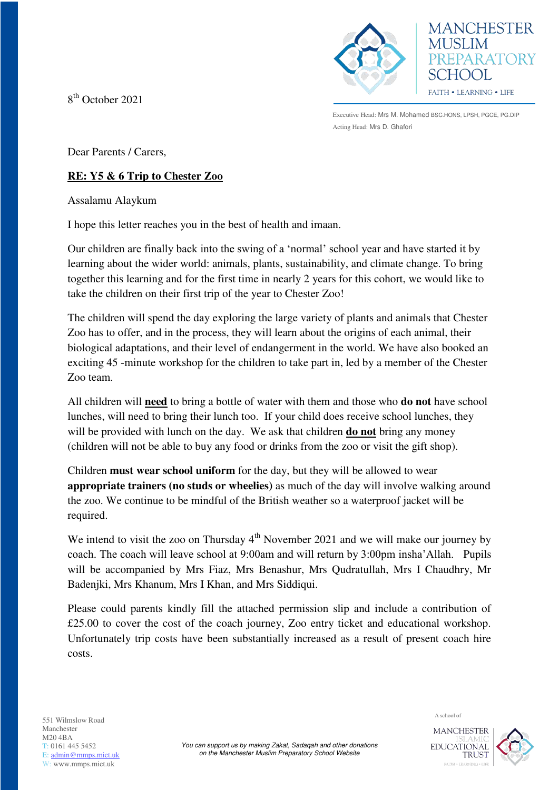8<sup>th</sup> October 2021





Executive Head: Mrs M. Mohamed BSC.HONS, LPSH, PGCE, PG.DIP Acting Head: Mrs D. Ghafori

Dear Parents / Carers,

## **RE: Y5 & 6 Trip to Chester Zoo**

Assalamu Alaykum

I hope this letter reaches you in the best of health and imaan.

Our children are finally back into the swing of a 'normal' school year and have started it by learning about the wider world: animals, plants, sustainability, and climate change. To bring together this learning and for the first time in nearly 2 years for this cohort, we would like to take the children on their first trip of the year to Chester Zoo!

The children will spend the day exploring the large variety of plants and animals that Chester Zoo has to offer, and in the process, they will learn about the origins of each animal, their biological adaptations, and their level of endangerment in the world. We have also booked an exciting 45 -minute workshop for the children to take part in, led by a member of the Chester Zoo team.

All children will **need** to bring a bottle of water with them and those who **do not** have school lunches, will need to bring their lunch too. If your child does receive school lunches, they will be provided with lunch on the day. We ask that children **do not** bring any money (children will not be able to buy any food or drinks from the zoo or visit the gift shop).

Children **must wear school uniform** for the day, but they will be allowed to wear **appropriate trainers (no studs or wheelies)** as much of the day will involve walking around the zoo. We continue to be mindful of the British weather so a waterproof jacket will be required.

We intend to visit the zoo on Thursday  $4<sup>th</sup>$  November 2021 and we will make our journey by coach. The coach will leave school at 9:00am and will return by 3:00pm insha'Allah. Pupils will be accompanied by Mrs Fiaz, Mrs Benashur, Mrs Qudratullah, Mrs I Chaudhry, Mr Badenjki, Mrs Khanum, Mrs I Khan, and Mrs Siddiqui.

Please could parents kindly fill the attached permission slip and include a contribution of £25.00 to cover the cost of the coach journey, Zoo entry ticket and educational workshop. Unfortunately trip costs have been substantially increased as a result of present coach hire costs.

A school of 551 Wilmslow Road Manchester  $M20 4BA$ T: 0161 445 5452 E: [admin@mmps.miet.uk](mailto:admin@mmps.miet.uk) W: www.mmps.miet.uk

**MANCHESTER** EDUCATIONAL **TRUST**